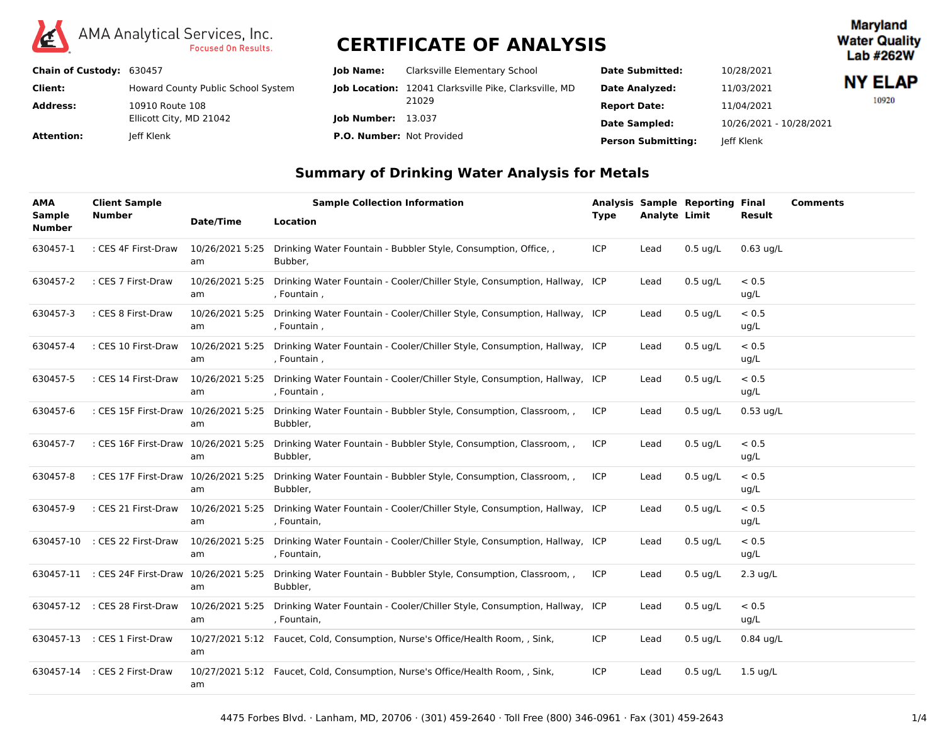

**Maryland Water Quality** Lab #262W

| Chain of Custody: 630457 |                                    | <b>lob Name:</b>                 | Clarksville Elementary School                                | <b>Date Submitted:</b>    | 10/28/2021              |                |
|--------------------------|------------------------------------|----------------------------------|--------------------------------------------------------------|---------------------------|-------------------------|----------------|
| Client:                  | Howard County Public School System |                                  | <b>Job Location:</b> 12041 Clarksville Pike, Clarksville, MD | <b>Date Analyzed:</b>     | 11/03/2021              | <b>NY ELAP</b> |
| <b>Address:</b>          | 10910 Route 108                    |                                  | 21029                                                        | <b>Report Date:</b>       | 11/04/2021              | 10920          |
|                          | Ellicott City, MD 21042            | <b>lob Number: 13.037</b>        |                                                              | <b>Date Sampled:</b>      | 10/26/2021 - 10/28/2021 |                |
| Attention:               | leff Klenk                         | <b>P.O. Number: Not Provided</b> |                                                              | <b>Person Submitting:</b> | leff Klenk              |                |

### **Summary of Drinking Water Analysis for Metals**

| <b>AMA</b><br><b>Sample</b><br><b>Number</b> | <b>Client Sample</b><br><b>Number</b> | Date/Time             | <b>Location</b> | <b>Sample Collection Information</b>                                           | <b>Type</b> | <b>Analyte Limit</b> | <b>Analysis Sample Reporting Final</b> | Result             | <b>Comments</b> |
|----------------------------------------------|---------------------------------------|-----------------------|-----------------|--------------------------------------------------------------------------------|-------------|----------------------|----------------------------------------|--------------------|-----------------|
| 630457-1                                     | : CES 4F First-Draw                   | 10/26/2021 5:25<br>am | Bubber,         | Drinking Water Fountain - Bubbler Style, Consumption, Office, ,                | <b>ICP</b>  | Lead                 | $0.5$ ug/L                             | $0.63$ ug/L        |                 |
| 630457-2                                     | : CES 7 First-Draw                    | 10/26/2021 5:25<br>am | , Fountain,     | Drinking Water Fountain - Cooler/Chiller Style, Consumption, Hallway, ICP      |             | Lead                 | $0.5 \text{ ug/L}$                     | < 0.5<br>ug/L      |                 |
| 630457-3                                     | : CES 8 First-Draw                    | 10/26/2021 5:25<br>am | , Fountain,     | Drinking Water Fountain - Cooler/Chiller Style, Consumption, Hallway, ICP      |             | Lead                 | $0.5$ ug/L                             | < 0.5<br>ug/L      |                 |
| 630457-4                                     | : CES 10 First-Draw                   | 10/26/2021 5:25<br>am | , Fountain,     | Drinking Water Fountain - Cooler/Chiller Style, Consumption, Hallway, ICP      |             | Lead                 | $0.5$ ug/L                             | < 0.5<br>ug/L      |                 |
| 630457-5                                     | : CES 14 First-Draw                   | 10/26/2021 5:25<br>am | , Fountain,     | Drinking Water Fountain - Cooler/Chiller Style, Consumption, Hallway, ICP      |             | Lead                 | $0.5$ ug/L                             | < 0.5<br>ug/L      |                 |
| 630457-6                                     | : CES 15F First-Draw 10/26/2021 5:25  | am                    | Bubbler,        | Drinking Water Fountain - Bubbler Style, Consumption, Classroom, ,             | ICP         | Lead                 | $0.5$ ug/L                             | $0.53$ ug/L        |                 |
| 630457-7                                     | : CES 16F First-Draw                  | 10/26/2021 5:25<br>am | Bubbler,        | Drinking Water Fountain - Bubbler Style, Consumption, Classroom, ,             | ICP         | Lead                 | $0.5$ ug/L                             | < 0.5<br>ug/L      |                 |
| 630457-8                                     | : CES 17F First-Draw                  | 10/26/2021 5:25<br>am | Bubbler,        | Drinking Water Fountain - Bubbler Style, Consumption, Classroom, ,             | ICP         | Lead                 | $0.5$ ug/L                             | < 0.5<br>ug/L      |                 |
| 630457-9                                     | : CES 21 First-Draw                   | 10/26/2021 5:25<br>am | , Fountain,     | Drinking Water Fountain - Cooler/Chiller Style, Consumption, Hallway, ICP      |             | Lead                 | $0.5$ ug/L                             | < 0.5<br>ug/L      |                 |
| 630457-10                                    | : CES 22 First-Draw                   | 10/26/2021 5:25<br>am | , Fountain,     | Drinking Water Fountain - Cooler/Chiller Style, Consumption, Hallway, ICP      |             | Lead                 | $0.5 \text{ ug/L}$                     | < 0.5<br>ug/L      |                 |
|                                              | 630457-11 : CES 24F First-Draw        | 10/26/2021 5:25<br>am | Bubbler,        | Drinking Water Fountain - Bubbler Style, Consumption, Classroom, ,             | <b>ICP</b>  | Lead                 | $0.5$ ug/L                             | $2.3$ ug/L         |                 |
|                                              | 630457-12 : CES 28 First-Draw         | 10/26/2021 5:25<br>am | , Fountain,     | Drinking Water Fountain - Cooler/Chiller Style, Consumption, Hallway, ICP      |             | Lead                 | $0.5$ ug/L                             | < 0.5<br>ug/L      |                 |
|                                              | 630457-13 : CES 1 First-Draw          | am                    |                 | 10/27/2021 5:12 Faucet, Cold, Consumption, Nurse's Office/Health Room, , Sink, | <b>ICP</b>  | Lead                 | $0.5$ ug/L                             | $0.84$ ug/L        |                 |
| 630457-14                                    | : CES 2 First-Draw                    | am                    |                 | 10/27/2021 5:12 Faucet, Cold, Consumption, Nurse's Office/Health Room, , Sink, | ICP         | Lead                 | $0.5$ ug/L                             | $1.5 \text{ uq/L}$ |                 |

4475 Forbes Blvd. · Lanham, MD, 20706 · (301) 459-2640 · Toll Free (800) 346-0961 · Fax (301) 459-2643 1/4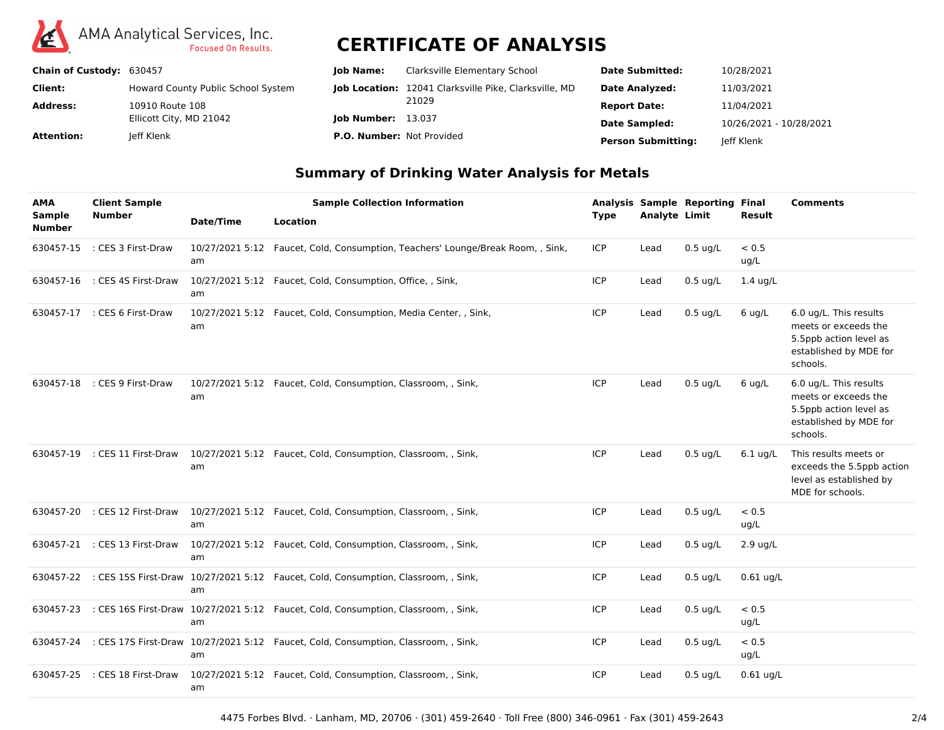

| Chain of Custody: 630457 |                                    | <b>lob Name:</b>                 | Clarksville Elementary School                                | <b>Date Submitted:</b>    | 10/28/2021              |
|--------------------------|------------------------------------|----------------------------------|--------------------------------------------------------------|---------------------------|-------------------------|
| Client:                  | Howard County Public School System |                                  | <b>Job Location:</b> 12041 Clarksville Pike, Clarksville, MD | <b>Date Analyzed:</b>     | 11/03/2021              |
| <b>Address:</b>          | 10910 Route 108                    |                                  | 21029                                                        | <b>Report Date:</b>       | 11/04/2021              |
|                          | Ellicott City, MD 21042            | <b>lob Number: 13.037</b>        |                                                              | <b>Date Sampled:</b>      | 10/26/2021 - 10/28/2021 |
| Attention:               | leff Klenk                         | <b>P.O. Number: Not Provided</b> |                                                              | <b>Person Submitting:</b> | leff Klenk              |

### **Summary of Drinking Water Analysis for Metals**

| <b>AMA</b><br><b>Sample</b> | <b>Client Sample</b><br><b>Number</b> | Date/Time | <b>Sample Collection Information</b><br>Location                                             | <b>Type</b> | <b>Analyte Limit</b> | <b>Analysis Sample Reporting Final</b> | Result             | <b>Comments</b>                                                                                                |
|-----------------------------|---------------------------------------|-----------|----------------------------------------------------------------------------------------------|-------------|----------------------|----------------------------------------|--------------------|----------------------------------------------------------------------------------------------------------------|
| <b>Number</b><br>630457-15  | : CES 3 First-Draw                    | am        | 10/27/2021 5:12 Faucet, Cold, Consumption, Teachers' Lounge/Break Room, , Sink,              | ICP         | Lead                 | $0.5$ ug/L                             | < 0.5<br>ug/L      |                                                                                                                |
| 630457-16                   | : CES 4S First-Draw                   | am        | 10/27/2021 5:12 Faucet, Cold, Consumption, Office, , Sink,                                   | <b>ICP</b>  | Lead                 | $0.5$ ug/L                             | $1.4$ ug/L         |                                                                                                                |
| 630457-17                   | : CES 6 First-Draw                    | am        | 10/27/2021 5:12 Faucet, Cold, Consumption, Media Center, , Sink,                             | <b>ICP</b>  | Lead                 | $0.5 \text{ ug/L}$                     | $6$ ug/L           | 6.0 ug/L. This results<br>meets or exceeds the<br>5.5ppb action level as<br>established by MDE for<br>schools. |
| 630457-18                   | : CES 9 First-Draw                    | am        | 10/27/2021 5:12 Faucet, Cold, Consumption, Classroom, , Sink,                                | ICP         | Lead                 | $0.5$ ug/L                             | $6$ ug/L           | 6.0 ug/L. This results<br>meets or exceeds the<br>5.5ppb action level as<br>established by MDE for<br>schools. |
| 630457-19                   | : CES 11 First-Draw                   | am        | 10/27/2021 5:12 Faucet, Cold, Consumption, Classroom, , Sink,                                | <b>ICP</b>  | Lead                 | $0.5$ ug/L                             | $6.1$ ug/L         | This results meets or<br>exceeds the 5.5ppb action<br>level as established by<br>MDE for schools.              |
|                             | 630457-20 : CES 12 First-Draw         | am        | 10/27/2021 5:12 Faucet, Cold, Consumption, Classroom, , Sink,                                | <b>ICP</b>  | Lead                 | $0.5$ ug/L                             | < 0.5<br>ug/L      |                                                                                                                |
|                             | 630457-21 : CES 13 First-Draw         | am        | 10/27/2021 5:12 Faucet, Cold, Consumption, Classroom, , Sink,                                | <b>ICP</b>  | Lead                 | $0.5$ ug/L                             | $2.9 \text{ ug/L}$ |                                                                                                                |
|                             |                                       | am        | 630457-22 : CES 15S First-Draw 10/27/2021 5:12 Faucet, Cold, Consumption, Classroom, , Sink, | <b>ICP</b>  | Lead                 | $0.5$ ug/L                             | $0.61$ ug/L        |                                                                                                                |
|                             |                                       | am        | 630457-23 : CES 16S First-Draw 10/27/2021 5:12 Faucet, Cold, Consumption, Classroom, , Sink, | <b>ICP</b>  | Lead                 | $0.5$ ug/L                             | < 0.5<br>ug/L      |                                                                                                                |
| 630457-24                   |                                       | am        | : CES 17S First-Draw 10/27/2021 5:12 Faucet, Cold, Consumption, Classroom, , Sink,           | <b>ICP</b>  | Lead                 | $0.5$ ug/L                             | < 0.5<br>ug/L      |                                                                                                                |
| 630457-25                   | : CES 18 First-Draw                   | am        | 10/27/2021 5:12 Faucet, Cold, Consumption, Classroom, , Sink,                                | <b>ICP</b>  | Lead                 | $0.5 \text{ ug/L}$                     | $0.61$ ug/L        |                                                                                                                |

4475 Forbes Blvd. · Lanham, MD, 20706 · (301) 459-2640 · Toll Free (800) 346-0961 · Fax (301) 459-2643 2/4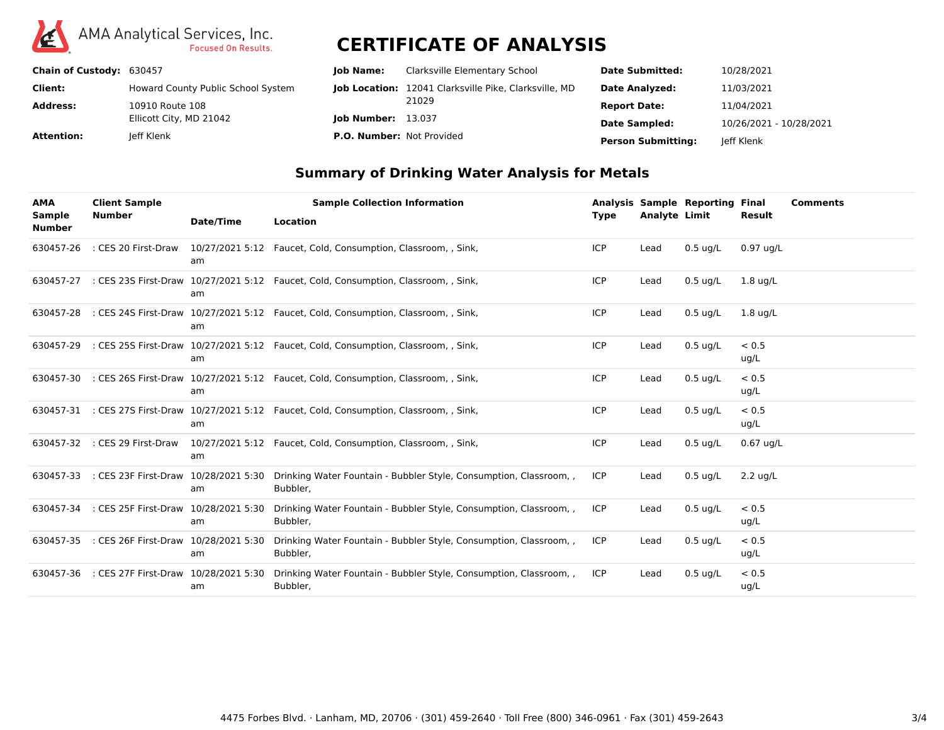

| Chain of Custody: 630457 |                                    | <b>lob Name:</b>                 | Clarksville Elementary School                                | <b>Date Submitted:</b>    | 10/28/2021              |
|--------------------------|------------------------------------|----------------------------------|--------------------------------------------------------------|---------------------------|-------------------------|
| Client:                  | Howard County Public School System |                                  | <b>Job Location:</b> 12041 Clarksville Pike, Clarksville, MD | <b>Date Analyzed:</b>     | 11/03/2021              |
| <b>Address:</b>          | 10910 Route 108                    |                                  | 21029                                                        | <b>Report Date:</b>       | 11/04/2021              |
|                          | Ellicott City, MD 21042            | <b>lob Number: 13.037</b>        |                                                              | <b>Date Sampled:</b>      | 10/26/2021 - 10/28/2021 |
| Attention:               | leff Klenk                         | <b>P.O. Number: Not Provided</b> |                                                              | <b>Person Submitting:</b> | leff Klenk              |

### **Summary of Drinking Water Analysis for Metals**

| <b>AMA</b><br><b>Sample</b> | <b>Client Sample</b><br><b>Number</b> | Date/Time             | <b>Sample Collection Information</b><br><b>Location</b>                            |                                                                    | Type       | <b>Analyte Limit</b> | <b>Analysis Sample Reporting Final</b> | Result             | <b>Comments</b> |
|-----------------------------|---------------------------------------|-----------------------|------------------------------------------------------------------------------------|--------------------------------------------------------------------|------------|----------------------|----------------------------------------|--------------------|-----------------|
| <b>Number</b>               |                                       |                       |                                                                                    |                                                                    |            |                      |                                        |                    |                 |
| 630457-26                   | : CES 20 First-Draw                   | am                    | 10/27/2021 5:12 Faucet, Cold, Consumption, Classroom, , Sink,                      |                                                                    | ICP        | Lead                 | $0.5 \text{ ug/L}$                     | $0.97$ ua/L        |                 |
| 630457-27                   |                                       | am                    | : CES 23S First-Draw 10/27/2021 5:12 Faucet, Cold, Consumption, Classroom, , Sink, |                                                                    | ICP        | Lead                 | $0.5$ ug/L                             | $1.8 \text{ uq/L}$ |                 |
| 630457-28                   |                                       | am                    | : CES 24S First-Draw 10/27/2021 5:12 Faucet, Cold, Consumption, Classroom, , Sink, |                                                                    | ICP        | Lead                 | $0.5$ ug/L                             | $1.8 \text{ uq/L}$ |                 |
| 630457-29                   |                                       | am                    | : CES 25S First-Draw 10/27/2021 5:12 Faucet, Cold, Consumption, Classroom, , Sink, |                                                                    | ICP        | Lead                 | $0.5$ ug/L                             | < 0.5<br>ug/L      |                 |
| 630457-30                   |                                       | am                    | : CES 26S First-Draw 10/27/2021 5:12 Faucet, Cold, Consumption, Classroom, , Sink, |                                                                    | <b>ICP</b> | Lead                 | $0.5$ ug/L                             | < 0.5<br>ug/L      |                 |
| 630457-31                   |                                       | am                    | : CES 27S First-Draw 10/27/2021 5:12 Faucet, Cold, Consumption, Classroom, , Sink, |                                                                    | ICP        | Lead                 | $0.5 \text{ ug/L}$                     | < 0.5<br>ug/L      |                 |
| 630457-32                   | : CES 29 First-Draw                   | am                    | 10/27/2021 5:12 Faucet, Cold, Consumption, Classroom, , Sink,                      |                                                                    | <b>ICP</b> | Lead                 | $0.5$ ug/L                             | $0.67$ ug/L        |                 |
| 630457-33                   | : CES 23F First-Draw 10/28/2021 5:30  | am                    | Bubbler,                                                                           | Drinking Water Fountain - Bubbler Style, Consumption, Classroom,   | <b>ICP</b> | Lead                 | $0.5$ ug/L                             | $2.2 \text{ uq/L}$ |                 |
| 630457-34                   | : CES 25F First-Draw                  | 10/28/2021 5:30<br>am | Bubbler,                                                                           | Drinking Water Fountain - Bubbler Style, Consumption, Classroom,   | <b>ICP</b> | Lead                 | $0.5$ ug/L                             | < 0.5<br>ug/L      |                 |
| 630457-35                   | : CES 26F First-Draw 10/28/2021 5:30  | am                    | Bubbler,                                                                           | Drinking Water Fountain - Bubbler Style, Consumption, Classroom,   | <b>ICP</b> | Lead                 | $0.5$ ug/L                             | < 0.5<br>ug/L      |                 |
| 630457-36                   | : CES 27F First-Draw 10/28/2021 5:30  | am                    | Bubbler,                                                                           | Drinking Water Fountain - Bubbler Style, Consumption, Classroom, , | <b>ICP</b> | Lead                 | $0.5$ ug/L                             | < 0.5<br>ug/L      |                 |